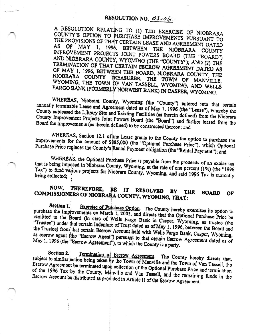## RESOLUTION NO. 03-06

A RESOLUTION RELATING TO (1) THE EXERCISE OF NIOBRARA COUNTY'S OPTION TO PURCHASE IMPROVEMENTS PURSUANT TO THE PROVISIONS OF THAT CERTAIN LEASE AND AGREEMENT DATED OF MAY 1, 1996, BETWEEN THE NIOBRARA COUNTY AS IMPROVEMENT PROJECTS JOINT POWERS BOARD (THE "BOARD") AND NIOBRARA COUNTY, WYOMING (THE "COUNTY"); AND (2) THE TERMINATION OF THAT CERTAIN ESCROW AGREEMENT DATED AS OF MAY 1, 1996, BETWEEN THE BOARD, NIOBRARA COUNTY, THE NIOBRARA COUNTY TREASURER, THE TOWN OF MANVILLE, WYOMING, THE TOWN OF VAN TASSELL, WYOMING, AND WELLS FARGO BANK (FORMERLY NORWEST BANK) IN CASPER, WYOMING.

WHEREAS, Niobrara County, Wyoming (the "County") entered into that certain annually terminable Lease and Agreement dated as of May 1, 1996 (the "Lease"), whereby the County subleased the Library Site and Existing Facilities (as therein defined) from the Niobrara County Improvement Projects Joint Powers Board (the "Board") and further leased from the Board the improvements (as therein defined) to be constructed thereon; and

WHEREAS, Section 12.1 of the Lease grants to the County the option to purchase the Improvements for the amount of \$885,000 (the "Optional Purchase Price"), which Optional Purchase Price replaces the County's Rental Payment obligation (the "Rental Payment"); and

WHEREAS, the Optional Purchase Price is payable from the proceeds of an excise tax that is being imposed in Niobrara County, Wyoming, at the rate of one percent (1%) (the "1996 Tax") to fund various projects for Niobrara County, Wyoming, and said 1996 Tax is currently boing collected;

## NOW, THEREFORE, BĽ  ${\bf I}$ **RESOLVED** COMMISSIONERS OF NIOBRARA COUNTY, WYOMING, THAT: BY THE **BOARD** OF

Section 1. Exercise of Purchase Option. The County hereby exercises its option to purchase the Improvements on March 1, 2005, and directs that the Optional Purchase Price be remitted to the Board (in care of Wells Fargo Bank in Casper, Wyoming, as trustee (the "Trustee") under that certain Indenture of Trust dated as of May 1, 1996, between the Board and the Trustee) from that certain Escrow Account held with Wells Fargo Bank, Casper, Wyoming, as escrow agent (the "Escrow Agent") pursuant to that certain Escrow Agreement dated as of May 1, 1996 (the "Escrow Agreement"), to which the County is a party.

Section 2. Termination of Escrow Agreement. The County hereby directs that, subject to similar action being taken by the Town of Manville and the Town of Van Tassell, the Escrow Agreement be terminated upon collection of the Optional Purchase Price and termination of the 1996 Tax by the County, Manville and Van Tassell, and the remaining funds in the Escrow Account be distributed as provided in Article II of the Escrow Agreement.

 $\ddot{\cdot}$